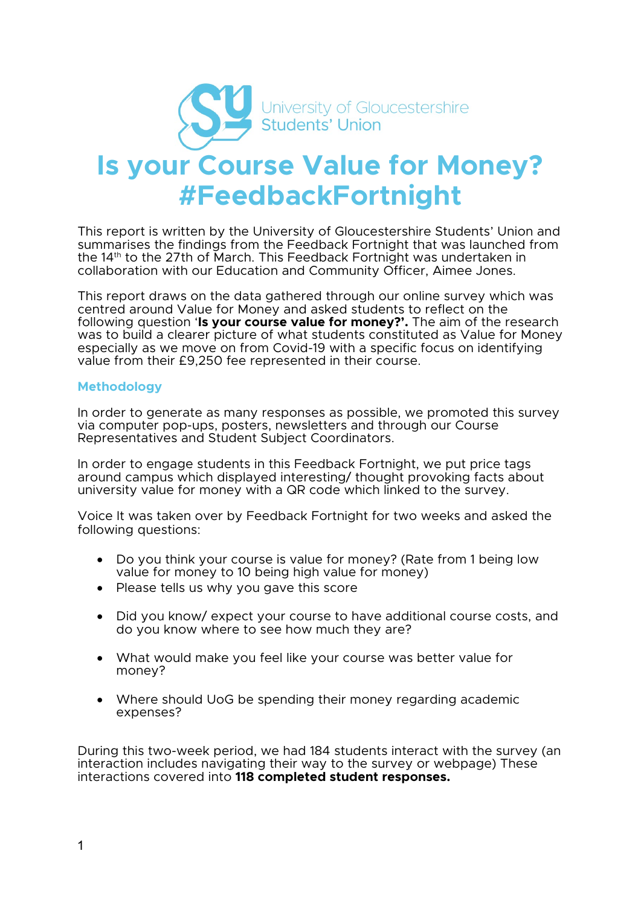

# **Is your Course Value for Money? #FeedbackFortnight**

This report is written by the University of Gloucestershire Students' Union and summarises the findings from the Feedback Fortnight that was launched from the 14th to the 27th of March. This Feedback Fortnight was undertaken in collaboration with our Education and Community Officer, Aimee Jones.

This report draws on the data gathered through our online survey which was centred around Value for Money and asked students to reflect on the following question '**Is your course value for money?'.** The aim of the research was to build a clearer picture of what students constituted as Value for Money especially as we move on from Covid-19 with a specific focus on identifying value from their £9,250 fee represented in their course.

#### **Methodology**

In order to generate as many responses as possible, we promoted this survey via computer pop-ups, posters, newsletters and through our Course Representatives and Student Subject Coordinators.

In order to engage students in this Feedback Fortnight, we put price tags around campus which displayed interesting/ thought provoking facts about university value for money with a QR code which linked to the survey.

Voice It was taken over by Feedback Fortnight for two weeks and asked the following questions:

- Do you think your course is value for money? (Rate from 1 being low value for money to 10 being high value for money)
- Please tells us why you gave this score
- Did you know/ expect your course to have additional course costs, and do you know where to see how much they are?
- What would make you feel like your course was better value for money?
- Where should UoG be spending their money regarding academic expenses?

During this two-week period, we had 184 students interact with the survey (an interaction includes navigating their way to the survey or webpage) These interactions covered into **118 completed student responses.**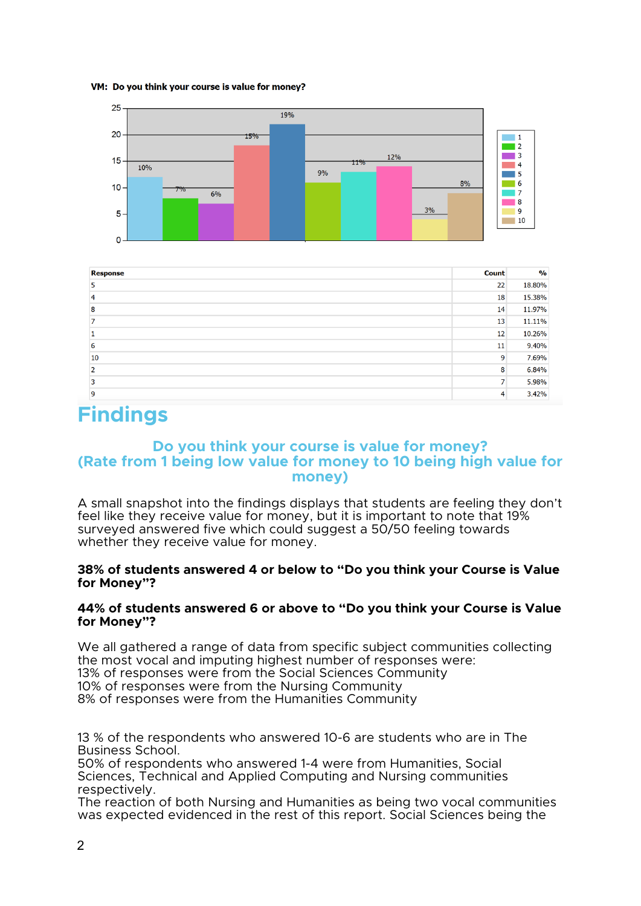#### VM: Do you think your course is value for money?





# **Findings**

# **Do you think your course is value for money? (Rate from 1 being low value for money to 10 being high value for money)**

A small snapshot into the findings displays that students are feeling they don't feel like they receive value for money, but it is important to note that 19% surveyed answered five which could suggest a 50/50 feeling towards whether they receive value for money.

#### **38% of students answered 4 or below to "Do you think your Course is Value for Money"?**

#### **44% of students answered 6 or above to "Do you think your Course is Value for Money"?**

We all gathered a range of data from specific subject communities collecting the most vocal and imputing highest number of responses were: 13% of responses were from the Social Sciences Community 10% of responses were from the Nursing Community 8% of responses were from the Humanities Community

13 % of the respondents who answered 10-6 are students who are in The Business School.

50% of respondents who answered 1-4 were from Humanities, Social Sciences, Technical and Applied Computing and Nursing communities respectively.

The reaction of both Nursing and Humanities as being two vocal communities was expected evidenced in the rest of this report. Social Sciences being the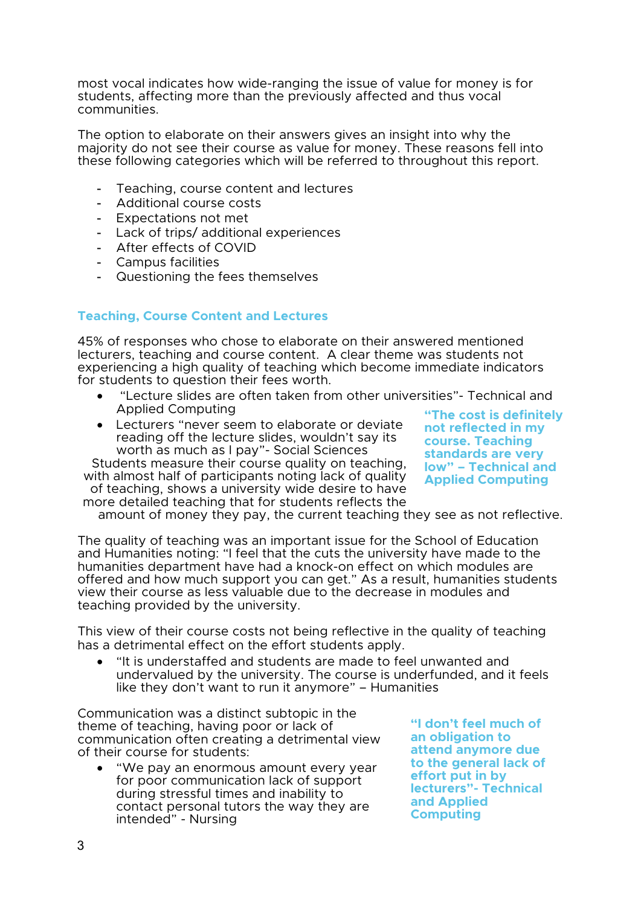most vocal indicates how wide-ranging the issue of value for money is for students, affecting more than the previously affected and thus vocal communities.

The option to elaborate on their answers gives an insight into why the majority do not see their course as value for money. These reasons fell into these following categories which will be referred to throughout this report.

- Teaching, course content and lectures
- Additional course costs
- Expectations not met
- Lack of trips/ additional experiences
- After effects of COVID
- Campus facilities
- Questioning the fees themselves

# **Teaching, Course Content and Lectures**

45% of responses who chose to elaborate on their answered mentioned lecturers, teaching and course content. A clear theme was students not experiencing a high quality of teaching which become immediate indicators for students to question their fees worth.

- "Lecture slides are often taken from other universities"- Technical and Applied Computing
- Lecturers "never seem to elaborate or deviate reading off the lecture slides, wouldn't say its worth as much as I pay"- Social Sciences

Students measure their course quality on teaching, with almost half of participants noting lack of quality of teaching, shows a university wide desire to have more detailed teaching that for students reflects the

**"The cost is definitely not reflected in my course. Teaching standards are very low" – Technical and Applied Computing**

amount of money they pay, the current teaching they see as not reflective.

The quality of teaching was an important issue for the School of Education and Humanities noting: "I feel that the cuts the university have made to the humanities department have had a knock-on effect on which modules are offered and how much support you can get." As a result, humanities students view their course as less valuable due to the decrease in modules and teaching provided by the university.

This view of their course costs not being reflective in the quality of teaching has a detrimental effect on the effort students apply.

• "It is understaffed and students are made to feel unwanted and undervalued by the university. The course is underfunded, and it feels like they don't want to run it anymore" – Humanities

Communication was a distinct subtopic in the theme of teaching, having poor or lack of communication often creating a detrimental view of their course for students:

• "We pay an enormous amount every year for poor communication lack of support during stressful times and inability to contact personal tutors the way they are intended" - Nursing

**"I don't feel much of an obligation to attend anymore due to the general lack of effort put in by lecturers"- Technical and Applied Computing**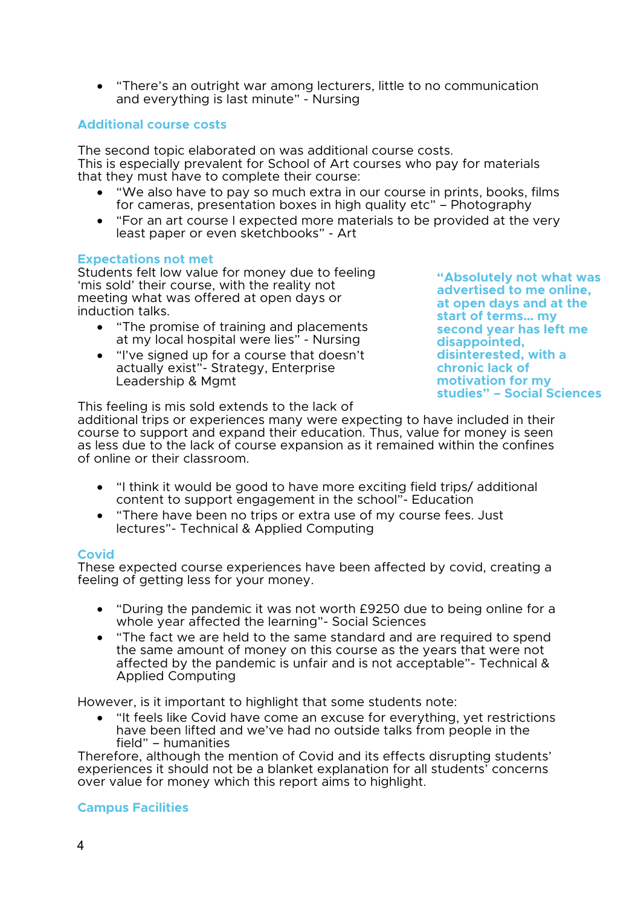• "There's an outright war among lecturers, little to no communication and everything is last minute" - Nursing

#### **Additional course costs**

The second topic elaborated on was additional course costs. This is especially prevalent for School of Art courses who pay for materials that they must have to complete their course:

- "We also have to pay so much extra in our course in prints, books, films for cameras, presentation boxes in high quality etc" – Photography
- "For an art course I expected more materials to be provided at the very least paper or even sketchbooks" - Art

#### **Expectations not met**

Students felt low value for money due to feeling 'mis sold' their course, with the reality not meeting what was offered at open days or induction talks.

- "The promise of training and placements at my local hospital were lies" - Nursing
- "I've signed up for a course that doesn't actually exist"- Strategy, Enterprise Leadership & Mgmt

**"Absolutely not what was advertised to me online, at open days and at the start of terms… my second year has left me disappointed, disinterested, with a chronic lack of motivation for my studies" – Social Sciences**

This feeling is mis sold extends to the lack of

additional trips or experiences many were expecting to have included in their course to support and expand their education. Thus, value for money is seen as less due to the lack of course expansion as it remained within the confines of online or their classroom.

- "I think it would be good to have more exciting field trips/ additional content to support engagement in the school"- Education
- "There have been no trips or extra use of my course fees. Just lectures"- Technical & Applied Computing

#### **Covid**

These expected course experiences have been affected by covid, creating a feeling of getting less for your money.

- "During the pandemic it was not worth £9250 due to being online for a whole year affected the learning"- Social Sciences
- "The fact we are held to the same standard and are required to spend the same amount of money on this course as the years that were not affected by the pandemic is unfair and is not acceptable"- Technical & Applied Computing

However, is it important to highlight that some students note:

• "It feels like Covid have come an excuse for everything, yet restrictions have been lifted and we've had no outside talks from people in the field" – humanities

Therefore, although the mention of Covid and its effects disrupting students' experiences it should not be a blanket explanation for all students' concerns over value for money which this report aims to highlight.

# **Campus Facilities**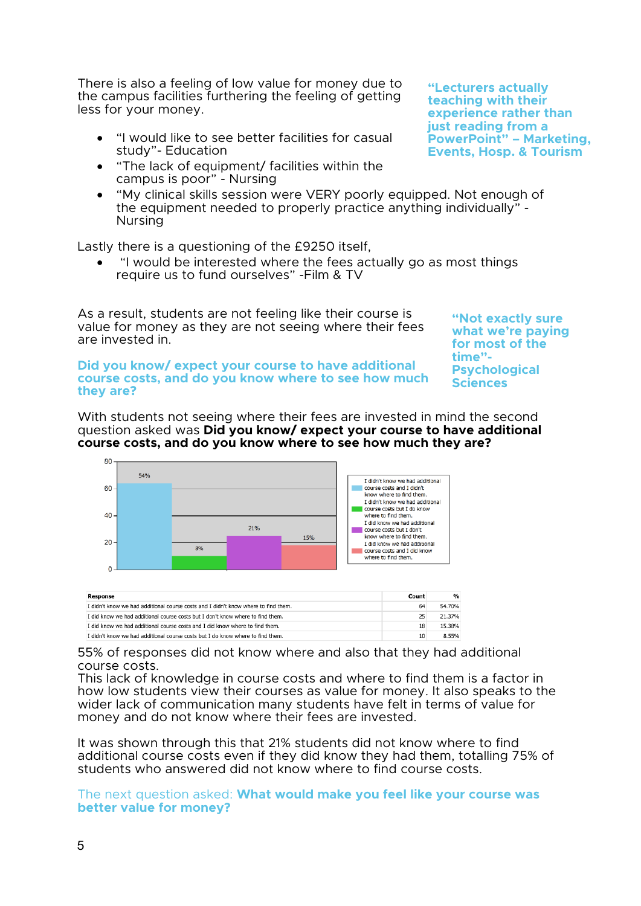There is also a feeling of low value for money due to the campus facilities furthering the feeling of getting less for your money.

- "I would like to see better facilities for casual study"- Education
- "The lack of equipment/ facilities within the campus is poor" - Nursing
- "My clinical skills session were VERY poorly equipped. Not enough of the equipment needed to properly practice anything individually" - Nursing

Lastly there is a questioning of the £9250 itself,

• "I would be interested where the fees actually go as most things require us to fund ourselves" -Film & TV

As a result, students are not feeling like their course is value for money as they are not seeing where their fees are invested in.

**"Not exactly sure what we're paying for most of the time"- Psychological Sciences**

**Did you know/ expect your course to have additional course costs, and do you know where to see how much they are?**

With students not seeing where their fees are invested in mind the second question asked was **Did you know/ expect your course to have additional course costs, and do you know where to see how much they are?**



55% of responses did not know where and also that they had additional course costs.

This lack of knowledge in course costs and where to find them is a factor in how low students view their courses as value for money. It also speaks to the wider lack of communication many students have felt in terms of value for money and do not know where their fees are invested.

It was shown through this that 21% students did not know where to find additional course costs even if they did know they had them, totalling 75% of students who answered did not know where to find course costs.

The next question asked: **What would make you feel like your course was better value for money?**

**"Lecturers actually teaching with their experience rather than just reading from a PowerPoint" – Marketing, Events, Hosp. & Tourism**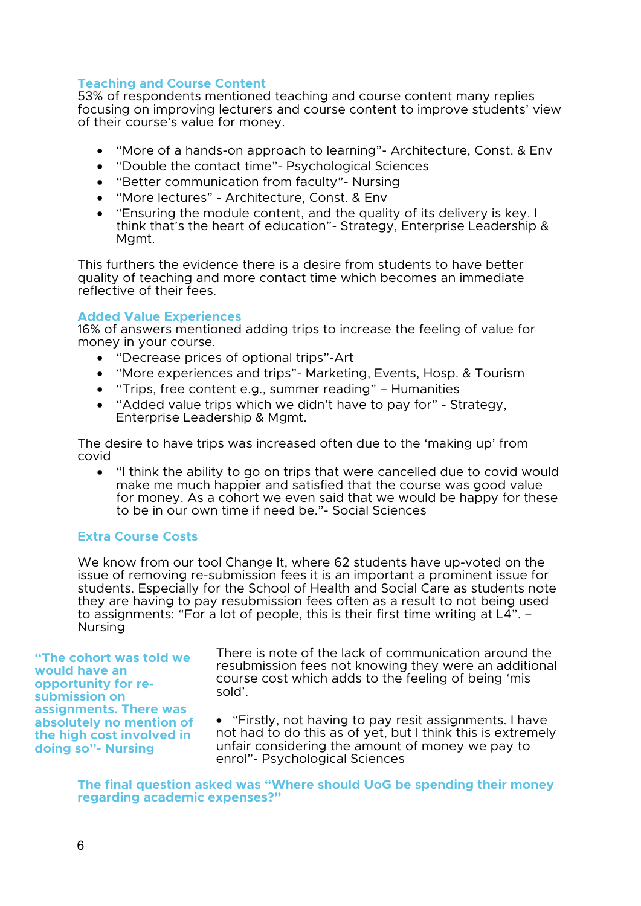#### **Teaching and Course Content**

53% of respondents mentioned teaching and course content many replies focusing on improving lecturers and course content to improve students' view of their course's value for money.

- "More of a hands-on approach to learning"- Architecture, Const. & Env
- "Double the contact time"- Psychological Sciences
- "Better communication from faculty"- Nursing
- "More lectures" Architecture, Const. & Env
- "Ensuring the module content, and the quality of its delivery is key. I think that's the heart of education"- Strategy, Enterprise Leadership & Mgmt.

This furthers the evidence there is a desire from students to have better quality of teaching and more contact time which becomes an immediate reflective of their fees.

#### **Added Value Experiences**

16% of answers mentioned adding trips to increase the feeling of value for money in your course.

- "Decrease prices of optional trips"-Art
- "More experiences and trips"- Marketing, Events, Hosp. & Tourism
- "Trips, free content e.g., summer reading" Humanities
- "Added value trips which we didn't have to pay for" Strategy, Enterprise Leadership & Mgmt.

The desire to have trips was increased often due to the 'making up' from covid

• "I think the ability to go on trips that were cancelled due to covid would make me much happier and satisfied that the course was good value for money. As a cohort we even said that we would be happy for these to be in our own time if need be."- Social Sciences

# **Extra Course Costs**

We know from our tool Change It, where 62 students have up-voted on the issue of removing re-submission fees it is an important a prominent issue for students. Especially for the School of Health and Social Care as students note they are having to pay resubmission fees often as a result to not being used to assignments: "For a lot of people, this is their first time writing at L4". – Nursing

**"The cohort was told we would have an opportunity for re- submission on assignments. There was absolutely no mention of the high cost involved in doing so"- Nursing**

There is note of the lack of communication around the resubmission fees not knowing they were an additional course cost which adds to the feeling of being 'mis sold'.

• "Firstly, not having to pay resit assignments. I have not had to do this as of yet, but I think this is extremely unfair considering the amount of money we pay to enrol"- Psychological Sciences

**The final question asked was "Where should UoG be spending their money regarding academic expenses?"**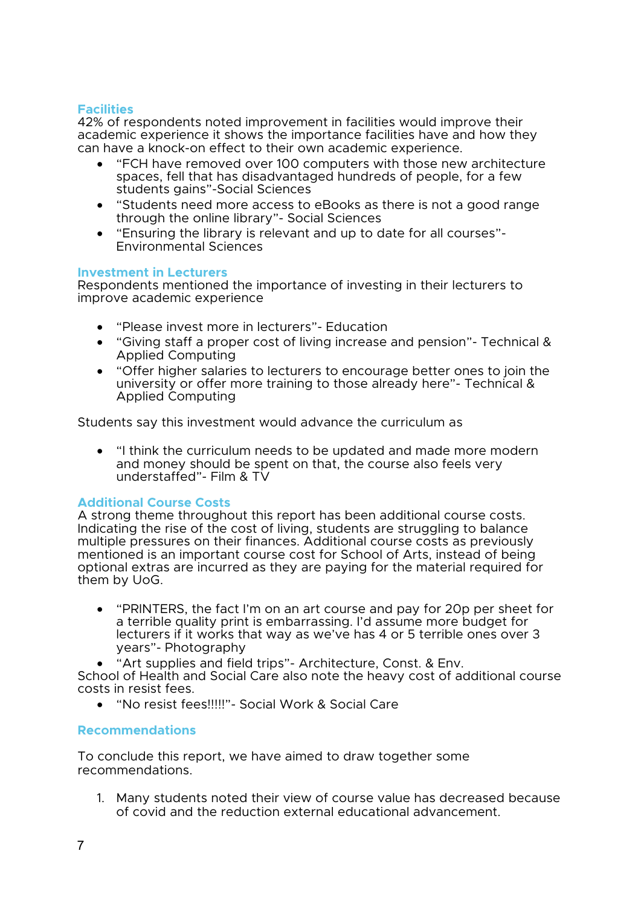# **Facilities**

42% of respondents noted improvement in facilities would improve their academic experience it shows the importance facilities have and how they can have a knock-on effect to their own academic experience.

- "FCH have removed over 100 computers with those new architecture spaces, fell that has disadvantaged hundreds of people, for a few students gains"-Social Sciences
- "Students need more access to eBooks as there is not a good range through the online library"- Social Sciences
- "Ensuring the library is relevant and up to date for all courses"- Environmental Sciences

#### **Investment in Lecturers**

Respondents mentioned the importance of investing in their lecturers to improve academic experience

- "Please invest more in lecturers"- Education
- "Giving staff a proper cost of living increase and pension"- Technical & Applied Computing
- "Offer higher salaries to lecturers to encourage better ones to join the university or offer more training to those already here"- Technical & Applied Computing

Students say this investment would advance the curriculum as

• "I think the curriculum needs to be updated and made more modern and money should be spent on that, the course also feels very understaffed"- Film & TV

# **Additional Course Costs**

A strong theme throughout this report has been additional course costs. Indicating the rise of the cost of living, students are struggling to balance multiple pressures on their finances. Additional course costs as previously mentioned is an important course cost for School of Arts, instead of being optional extras are incurred as they are paying for the material required for them by UoG.

- "PRINTERS, the fact I'm on an art course and pay for 20p per sheet for a terrible quality print is embarrassing. I'd assume more budget for lecturers if it works that way as we've has 4 or 5 terrible ones over 3 years"- Photography
- "Art supplies and field trips"- Architecture, Const. & Env.

School of Health and Social Care also note the heavy cost of additional course costs in resist fees.

• "No resist fees!!!!!"- Social Work & Social Care

# **Recommendations**

To conclude this report, we have aimed to draw together some recommendations.

1. Many students noted their view of course value has decreased because of covid and the reduction external educational advancement.